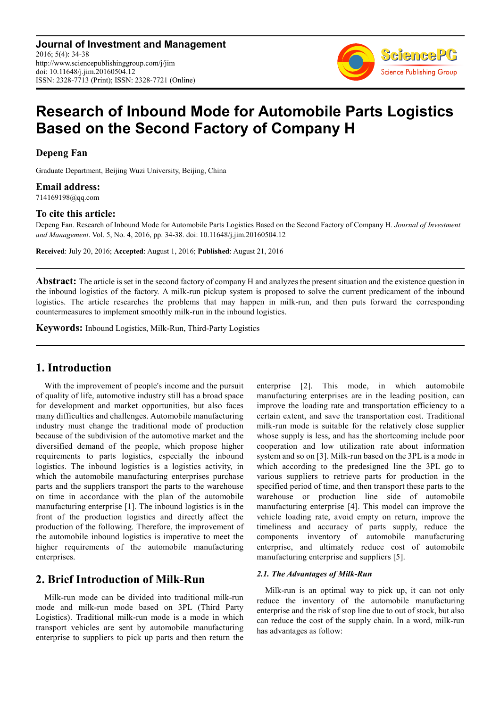**Journal of Investment and Management** 2016; 5(4): 34-38 http://www.sciencepublishinggroup.com/j/jim doi: 10.11648/j.jim.20160504.12 ISSN: 2328-7713 (Print); ISSN: 2328-7721 (Online)



# **Research of Inbound Mode for Automobile Parts Logistics Based on the Second Factory of Company H**

**Depeng Fan** 

Graduate Department, Beijing Wuzi University, Beijing, China

**Email address:** 

714169198@qq.com

# **To cite this article:**

Depeng Fan. Research of Inbound Mode for Automobile Parts Logistics Based on the Second Factory of Company H. *Journal of Investment and Management*. Vol. 5, No. 4, 2016, pp. 34-38. doi: 10.11648/j.jim.20160504.12

**Received**: July 20, 2016; **Accepted**: August 1, 2016; **Published**: August 21, 2016

**Abstract:** The article is set in the second factory of company H and analyzes the present situation and the existence question in the inbound logistics of the factory. A milk-run pickup system is proposed to solve the current predicament of the inbound logistics. The article researches the problems that may happen in milk-run, and then puts forward the corresponding countermeasures to implement smoothly milk-run in the inbound logistics.

**Keywords:** Inbound Logistics, Milk-Run, Third-Party Logistics

# **1. Introduction**

With the improvement of people's income and the pursuit of quality of life, automotive industry still has a broad space for development and market opportunities, but also faces many difficulties and challenges. Automobile manufacturing industry must change the traditional mode of production because of the subdivision of the automotive market and the diversified demand of the people, which propose higher requirements to parts logistics, especially the inbound logistics. The inbound logistics is a logistics activity, in which the automobile manufacturing enterprises purchase parts and the suppliers transport the parts to the warehouse on time in accordance with the plan of the automobile manufacturing enterprise [1]. The inbound logistics is in the front of the production logistics and directly affect the production of the following. Therefore, the improvement of the automobile inbound logistics is imperative to meet the higher requirements of the automobile manufacturing enterprises.

# **2. Brief Introduction of Milk-Run**

Milk-run mode can be divided into traditional milk-run mode and milk-run mode based on 3PL (Third Party Logistics). Traditional milk-run mode is a mode in which transport vehicles are sent by automobile manufacturing enterprise to suppliers to pick up parts and then return the enterprise [2]. This mode, in which automobile manufacturing enterprises are in the leading position, can improve the loading rate and transportation efficiency to a certain extent, and save the transportation cost. Traditional milk-run mode is suitable for the relatively close supplier whose supply is less, and has the shortcoming include poor cooperation and low utilization rate about information system and so on [3]. Milk-run based on the 3PL is a mode in which according to the predesigned line the 3PL go to various suppliers to retrieve parts for production in the specified period of time, and then transport these parts to the warehouse or production line side of automobile manufacturing enterprise [4]. This model can improve the vehicle loading rate, avoid empty on return, improve the timeliness and accuracy of parts supply, reduce the components inventory of automobile manufacturing enterprise, and ultimately reduce cost of automobile manufacturing enterprise and suppliers [5].

# *2.1. The Advantages of Milk-Run*

Milk-run is an optimal way to pick up, it can not only reduce the inventory of the automobile manufacturing enterprise and the risk of stop line due to out of stock, but also can reduce the cost of the supply chain. In a word, milk-run has advantages as follow: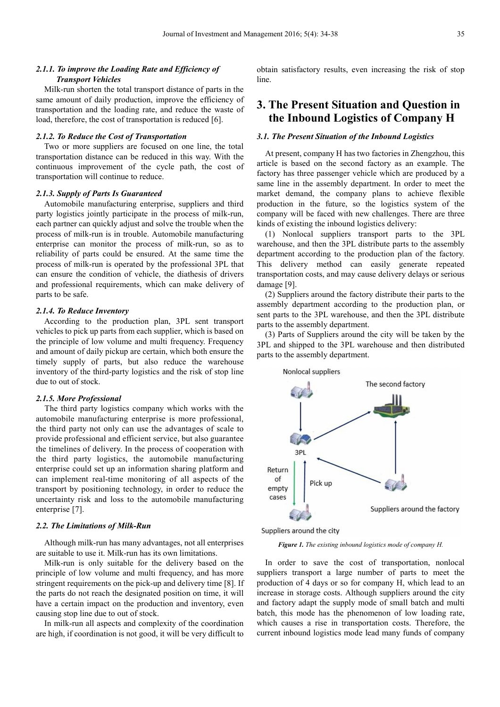# *2.1.1. To improve the Loading Rate and Efficiency of Transport Vehicles*

Milk-run shorten the total transport distance of parts in the same amount of daily production, improve the efficiency of transportation and the loading rate, and reduce the waste of load, therefore, the cost of transportation is reduced [6].

#### *2.1.2. To Reduce the Cost of Transportation*

Two or more suppliers are focused on one line, the total transportation distance can be reduced in this way. With the continuous improvement of the cycle path, the cost of transportation will continue to reduce.

# *2.1.3. Supply of Parts Is Guaranteed*

Automobile manufacturing enterprise, suppliers and third party logistics jointly participate in the process of milk-run, each partner can quickly adjust and solve the trouble when the process of milk-run is in trouble. Automobile manufacturing enterprise can monitor the process of milk-run, so as to reliability of parts could be ensured. At the same time the process of milk-run is operated by the professional 3PL that can ensure the condition of vehicle, the diathesis of drivers and professional requirements, which can make delivery of parts to be safe.

### *2.1.4. To Reduce Inventory*

According to the production plan, 3PL sent transport vehicles to pick up parts from each supplier, which is based on the principle of low volume and multi frequency. Frequency and amount of daily pickup are certain, which both ensure the timely supply of parts, but also reduce the warehouse inventory of the third-party logistics and the risk of stop line due to out of stock.

# *2.1.5. More Professional*

The third party logistics company which works with the automobile manufacturing enterprise is more professional, the third party not only can use the advantages of scale to provide professional and efficient service, but also guarantee the timelines of delivery. In the process of cooperation with the third party logistics, the automobile manufacturing enterprise could set up an information sharing platform and can implement real-time monitoring of all aspects of the transport by positioning technology, in order to reduce the uncertainty risk and loss to the automobile manufacturing enterprise [7].

## *2.2. The Limitations of Milk-Run*

Although milk-run has many advantages, not all enterprises are suitable to use it. Milk-run has its own limitations.

Milk-run is only suitable for the delivery based on the principle of low volume and multi frequency, and has more stringent requirements on the pick-up and delivery time [8]. If the parts do not reach the designated position on time, it will have a certain impact on the production and inventory, even causing stop line due to out of stock.

In milk-run all aspects and complexity of the coordination are high, if coordination is not good, it will be very difficult to

obtain satisfactory results, even increasing the risk of stop line.

# **3. The Present Situation and Question in the Inbound Logistics of Company H**

# *3.1. The Present Situation of the Inbound Logistics*

At present, company H has two factories in Zhengzhou, this article is based on the second factory as an example. The factory has three passenger vehicle which are produced by a same line in the assembly department. In order to meet the market demand, the company plans to achieve flexible production in the future, so the logistics system of the company will be faced with new challenges. There are three kinds of existing the inbound logistics delivery:

(1) Nonlocal suppliers transport parts to the 3PL warehouse, and then the 3PL distribute parts to the assembly department according to the production plan of the factory. This delivery method can easily generate repeated transportation costs, and may cause delivery delays or serious damage [9].

(2) Suppliers around the factory distribute their parts to the assembly department according to the production plan, or sent parts to the 3PL warehouse, and then the 3PL distribute parts to the assembly department.

(3) Parts of Suppliers around the city will be taken by the 3PL and shipped to the 3PL warehouse and then distributed parts to the assembly department.



Suppliers around the city

*Figure 1. The existing inbound logistics mode of company H.* 

In order to save the cost of transportation, nonlocal suppliers transport a large number of parts to meet the production of 4 days or so for company H, which lead to an increase in storage costs. Although suppliers around the city and factory adapt the supply mode of small batch and multi batch, this mode has the phenomenon of low loading rate, which causes a rise in transportation costs. Therefore, the current inbound logistics mode lead many funds of company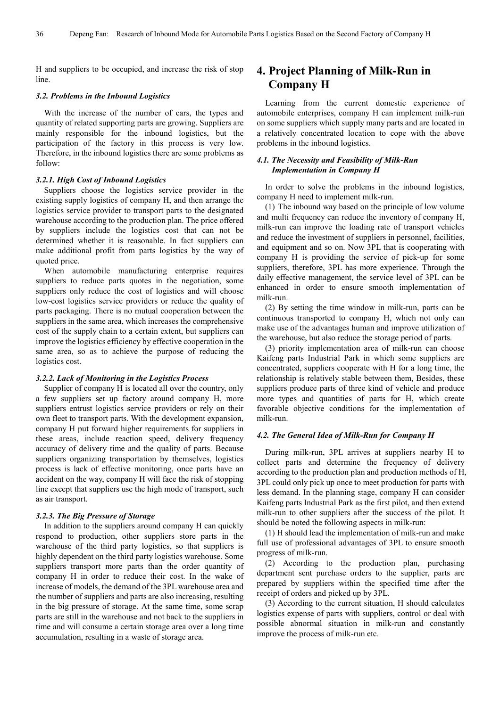H and suppliers to be occupied, and increase the risk of stop line.

### *3.2. Problems in the Inbound Logistics*

With the increase of the number of cars, the types and quantity of related supporting parts are growing. Suppliers are mainly responsible for the inbound logistics, but the participation of the factory in this process is very low. Therefore, in the inbound logistics there are some problems as follow:

## *3.2.1. High Cost of Inbound Logistics*

Suppliers choose the logistics service provider in the existing supply logistics of company H, and then arrange the logistics service provider to transport parts to the designated warehouse according to the production plan. The price offered by suppliers include the logistics cost that can not be determined whether it is reasonable. In fact suppliers can make additional profit from parts logistics by the way of quoted price.

When automobile manufacturing enterprise requires suppliers to reduce parts quotes in the negotiation, some suppliers only reduce the cost of logistics and will choose low-cost logistics service providers or reduce the quality of parts packaging. There is no mutual cooperation between the suppliers in the same area, which increases the comprehensive cost of the supply chain to a certain extent, but suppliers can improve the logistics efficiency by effective cooperation in the same area, so as to achieve the purpose of reducing the logistics cost.

#### *3.2.2. Lack of Monitoring in the Logistics Process*

Supplier of company H is located all over the country, only a few suppliers set up factory around company H, more suppliers entrust logistics service providers or rely on their own fleet to transport parts. With the development expansion, company H put forward higher requirements for suppliers in these areas, include reaction speed, delivery frequency accuracy of delivery time and the quality of parts. Because suppliers organizing transportation by themselves, logistics process is lack of effective monitoring, once parts have an accident on the way, company H will face the risk of stopping line except that suppliers use the high mode of transport, such as air transport.

#### *3.2.3. The Big Pressure of Storage*

In addition to the suppliers around company H can quickly respond to production, other suppliers store parts in the warehouse of the third party logistics, so that suppliers is highly dependent on the third party logistics warehouse. Some suppliers transport more parts than the order quantity of company H in order to reduce their cost. In the wake of increase of models, the demand of the 3PL warehouse area and the number of suppliers and parts are also increasing, resulting in the big pressure of storage. At the same time, some scrap parts are still in the warehouse and not back to the suppliers in time and will consume a certain storage area over a long time accumulation, resulting in a waste of storage area.

# **4. Project Planning of Milk-Run in Company H**

Learning from the current domestic experience of automobile enterprises, company H can implement milk-run on some suppliers which supply many parts and are located in a relatively concentrated location to cope with the above problems in the inbound logistics.

# *4.1. The Necessity and Feasibility of Milk-Run Implementation in Company H*

In order to solve the problems in the inbound logistics, company H need to implement milk-run.

(1) The inbound way based on the principle of low volume and multi frequency can reduce the inventory of company H, milk-run can improve the loading rate of transport vehicles and reduce the investment of suppliers in personnel, facilities, and equipment and so on. Now 3PL that is cooperating with company H is providing the service of pick-up for some suppliers, therefore, 3PL has more experience. Through the daily effective management, the service level of 3PL can be enhanced in order to ensure smooth implementation of milk-run.

(2) By setting the time window in milk-run, parts can be continuous transported to company H, which not only can make use of the advantages human and improve utilization of the warehouse, but also reduce the storage period of parts.

(3) priority implementation area of milk-run can choose Kaifeng parts Industrial Park in which some suppliers are concentrated, suppliers cooperate with H for a long time, the relationship is relatively stable between them, Besides, these suppliers produce parts of three kind of vehicle and produce more types and quantities of parts for H, which create favorable objective conditions for the implementation of milk-run.

#### *4.2. The General Idea of Milk-Run for Company H*

During milk-run, 3PL arrives at suppliers nearby H to collect parts and determine the frequency of delivery according to the production plan and production methods of H, 3PL could only pick up once to meet production for parts with less demand. In the planning stage, company H can consider Kaifeng parts Industrial Park as the first pilot, and then extend milk-run to other suppliers after the success of the pilot. It should be noted the following aspects in milk-run:

(1) H should lead the implementation of milk-run and make full use of professional advantages of 3PL to ensure smooth progress of milk-run.

(2) According to the production plan, purchasing department sent purchase orders to the supplier, parts are prepared by suppliers within the specified time after the receipt of orders and picked up by 3PL.

(3) According to the current situation, H should calculates logistics expense of parts with suppliers, control or deal with possible abnormal situation in milk-run and constantly improve the process of milk-run etc.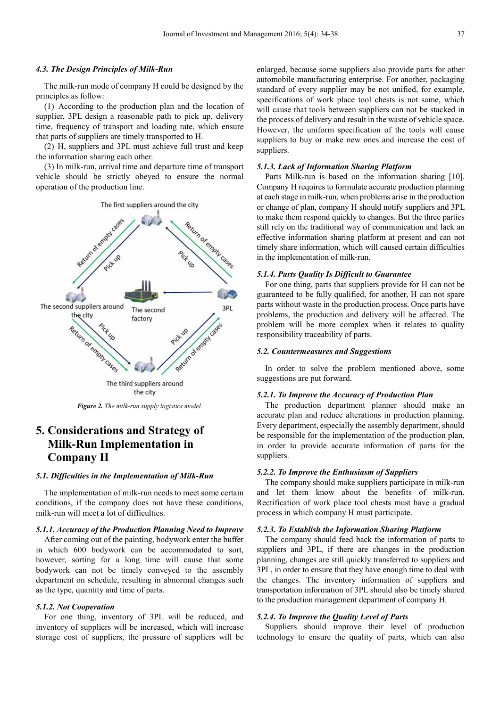### *4.3. The Design Principles of Milk-Run*

The milk-run mode of company H could be designed by the principles as follow:

(1) According to the production plan and the location of supplier, 3PL design a reasonable path to pick up, delivery time, frequency of transport and loading rate, which ensure that parts of suppliers are timely transported to H.

(2) H, suppliers and 3PL must achieve full trust and keep the information sharing each other.

(3) In milk-run, arrival time and departure time of transport vehicle should be strictly obeyed to ensure the normal operation of the production line.



*Figure 2. The milk-run supply logistics model.* 

# **5. Considerations and Strategy of Milk-Run Implementation in Company H**

### *5.1. Difficulties in the Implementation of Milk-Run*

The implementation of milk-run needs to meet some certain conditions, if the company does not have these conditions, milk-run will meet a lot of difficulties.

## *5.1.1. Accuracy of the Production Planning Need to Improve*

After coming out of the painting, bodywork enter the buffer in which 600 bodywork can be accommodated to sort, however, sorting for a long time will cause that some bodywork can not be timely conveyed to the assembly department on schedule, resulting in abnormal changes such as the type, quantity and time of parts.

#### *5.1.2. Not Cooperation*

For one thing, inventory of 3PL will be reduced, and inventory of suppliers will be increased, which will increase storage cost of suppliers, the pressure of suppliers will be enlarged, because some suppliers also provide parts for other automobile manufacturing enterprise. For another, packaging standard of every supplier may be not unified, for example, specifications of work place tool chests is not same, which will cause that tools between suppliers can not be stacked in the process of delivery and result in the waste of vehicle space. However, the uniform specification of the tools will cause suppliers to buy or make new ones and increase the cost of suppliers.

# *5.1.3. Lack of Information Sharing Platform*

Parts Milk-run is based on the information sharing [10]. Company H requires to formulate accurate production planning at each stage in milk-run, when problems arise in the production or change of plan, company H should notify suppliers and 3PL to make them respond quickly to changes. But the three parties still rely on the traditional way of communication and lack an effective information sharing platform at present and can not timely share information, which will caused certain difficulties in the implementation of milk-run.

# *5.1.4. Parts Quality Is Difficult to Guarantee*

For one thing, parts that suppliers provide for H can not be guaranteed to be fully qualified, for another, H can not spare parts without waste in the production process. Once parts have problems, the production and delivery will be affected. The problem will be more complex when it relates to quality responsibility traceability of parts.

# *5.2. Countermeasures and Suggestions*

In order to solve the problem mentioned above, some suggestions are put forward.

#### *5.2.1. To Improve the Accuracy of Production Plan*

The production department planner should make an accurate plan and reduce alterations in production planning. Every department, especially the assembly department, should be responsible for the implementation of the production plan, in order to provide accurate information of parts for the suppliers.

# *5.2.2. To Improve the Enthusiasm of Suppliers*

The company should make suppliers participate in milk-run and let them know about the benefits of milk-run. Rectification of work place tool chests must have a gradual process in which company H must participate.

### *5.2.3. To Establish the Information Sharing Platform*

The company should feed back the information of parts to suppliers and 3PL, if there are changes in the production planning, changes are still quickly transferred to suppliers and 3PL, in order to ensure that they have enough time to deal with the changes. The inventory information of suppliers and transportation information of 3PL should also be timely shared to the production management department of company H.

# *5.2.4. To Improve the Quality Level of Parts*

Suppliers should improve their level of production technology to ensure the quality of parts, which can also